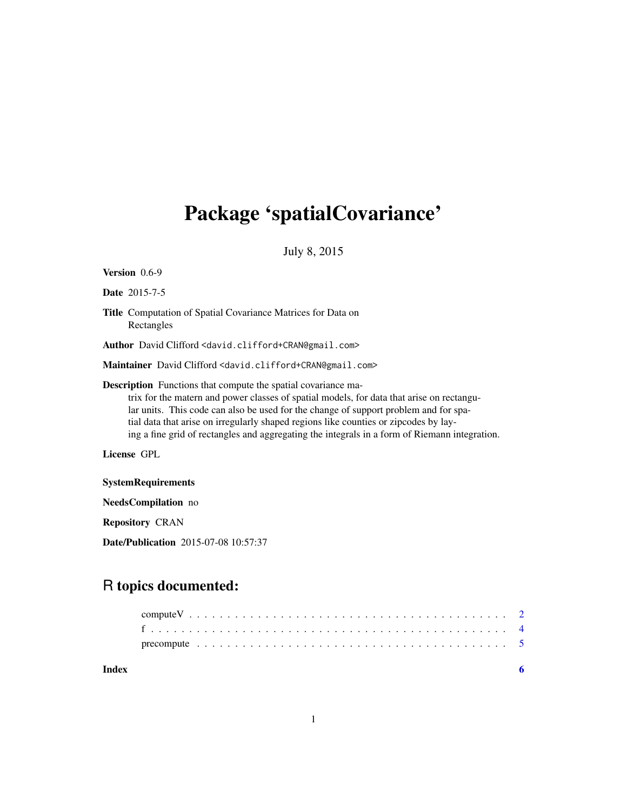## Package 'spatialCovariance'

July 8, 2015

| <b>Version</b> $0.6-9$                                                                                                                                                                                                                                                                                                                                                                                                                             |  |  |
|----------------------------------------------------------------------------------------------------------------------------------------------------------------------------------------------------------------------------------------------------------------------------------------------------------------------------------------------------------------------------------------------------------------------------------------------------|--|--|
| <b>Date</b> 2015-7-5                                                                                                                                                                                                                                                                                                                                                                                                                               |  |  |
| <b>Title</b> Computation of Spatial Covariance Matrices for Data on<br>Rectangles                                                                                                                                                                                                                                                                                                                                                                  |  |  |
| Author David Clifford <david.clifford+cran@gmail.com></david.clifford+cran@gmail.com>                                                                                                                                                                                                                                                                                                                                                              |  |  |
| Maintainer David Clifford <david.clifford+cran@gmail.com></david.clifford+cran@gmail.com>                                                                                                                                                                                                                                                                                                                                                          |  |  |
| <b>Description</b> Functions that compute the spatial covariance ma-<br>trix for the matern and power classes of spatial models, for data that arise on rectangu-<br>lar units. This code can also be used for the change of support problem and for spa-<br>tial data that arise on irregularly shaped regions like counties or zipcodes by lay-<br>ing a fine grid of rectangles and aggregating the integrals in a form of Riemann integration. |  |  |
| License GPL                                                                                                                                                                                                                                                                                                                                                                                                                                        |  |  |
| <b>SystemRequirements</b>                                                                                                                                                                                                                                                                                                                                                                                                                          |  |  |
| <b>NeedsCompilation</b> no                                                                                                                                                                                                                                                                                                                                                                                                                         |  |  |
| <b>Repository CRAN</b>                                                                                                                                                                                                                                                                                                                                                                                                                             |  |  |

### R topics documented:

Date/Publication 2015-07-08 10:57:37

| Index |  |  |
|-------|--|--|
|       |  |  |
|       |  |  |
|       |  |  |
|       |  |  |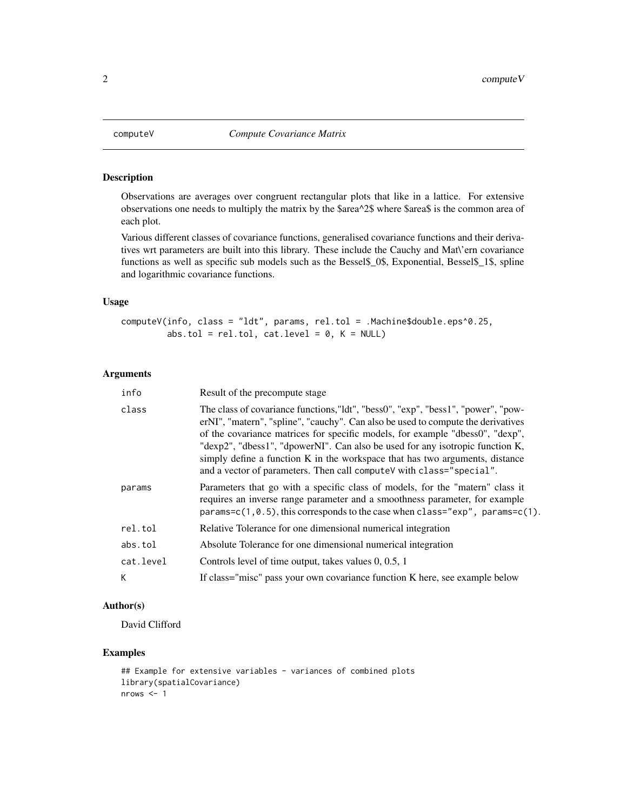<span id="page-1-0"></span>

#### Description

Observations are averages over congruent rectangular plots that like in a lattice. For extensive observations one needs to multiply the matrix by the \$area^2\$ where \$area\$ is the common area of each plot.

Various different classes of covariance functions, generalised covariance functions and their derivatives wrt parameters are built into this library. These include the Cauchy and Mat\'ern covariance functions as well as specific sub models such as the Bessel\$\_0\$, Exponential, Bessel\$\_1\$, spline and logarithmic covariance functions.

#### Usage

computeV(info, class = "ldt", params, rel.tol = .Machine\$double.eps^0.25, abs.tol =  $rel.tol$ , cat.level =  $0$ ,  $K = NULL$ )

#### Arguments

| info      | Result of the precompute stage                                                                                                                                                                                                                                                                                                                                                                                                                                                                  |
|-----------|-------------------------------------------------------------------------------------------------------------------------------------------------------------------------------------------------------------------------------------------------------------------------------------------------------------------------------------------------------------------------------------------------------------------------------------------------------------------------------------------------|
| class     | The class of covariance functions, "ldt", "bess0", "exp", "bess1", "power", "pow-<br>erNI", "matern", "spline", "cauchy". Can also be used to compute the derivatives<br>of the covariance matrices for specific models, for example "dbess0", "dexp",<br>"dexp2", "dbess1", "dpowerNI". Can also be used for any isotropic function K,<br>simply define a function K in the workspace that has two arguments, distance<br>and a vector of parameters. Then call computeV with class="special". |
| params    | Parameters that go with a specific class of models, for the "matern" class it<br>requires an inverse range parameter and a smoothness parameter, for example<br>params= $c(1, 0.5)$ , this corresponds to the case when class=" $exp"$ , params= $c(1)$ .                                                                                                                                                                                                                                       |
| rel.tol   | Relative Tolerance for one dimensional numerical integration                                                                                                                                                                                                                                                                                                                                                                                                                                    |
| abs.tol   | Absolute Tolerance for one dimensional numerical integration                                                                                                                                                                                                                                                                                                                                                                                                                                    |
| cat.level | Controls level of time output, takes values 0, 0.5, 1                                                                                                                                                                                                                                                                                                                                                                                                                                           |
| K.        | If class="misc" pass your own covariance function K here, see example below                                                                                                                                                                                                                                                                                                                                                                                                                     |

#### Author(s)

David Clifford

#### Examples

```
## Example for extensive variables - variances of combined plots
library(spatialCovariance)
nrows < -1
```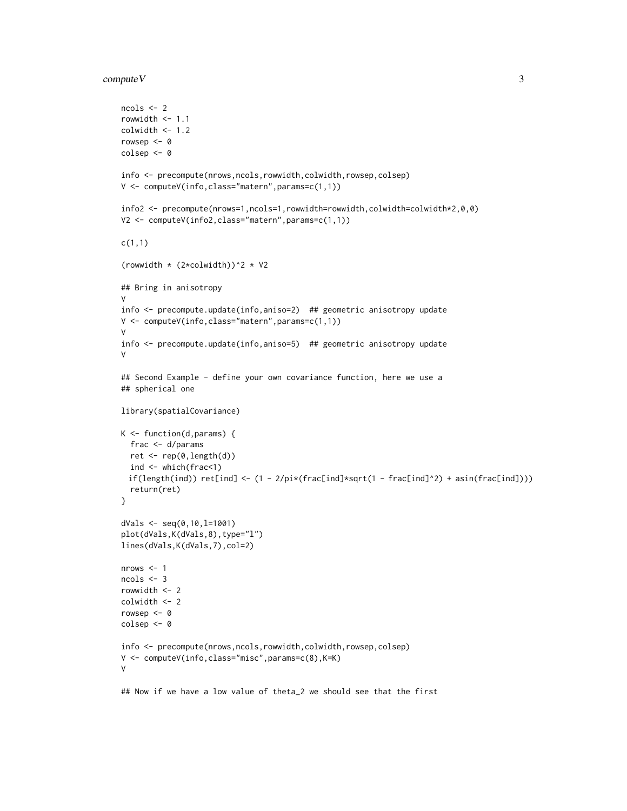#### $\epsilon$  compute V  $\geq$  3

```
ncols <- 2
rowwidth <-1.1colwidth < -1.2rowsep <-0colsep <- 0
info <- precompute(nrows,ncols,rowwidth,colwidth,rowsep,colsep)
V <- computeV(info,class="matern",params=c(1,1))
info2 <- precompute(nrows=1,ncols=1,rowwidth=rowwidth,colwidth=colwidth*2,0,0)
V2 <- computeV(info2,class="matern",params=c(1,1))
c(1,1)
(rowwidth * (2*colwidth))^2 * V2
## Bring in anisotropy
V
info <- precompute.update(info,aniso=2) ## geometric anisotropy update
V <- computeV(info,class="matern",params=c(1,1))
V
info <- precompute.update(info,aniso=5) ## geometric anisotropy update
V
## Second Example - define your own covariance function, here we use a
## spherical one
library(spatialCovariance)
K \leftarrow function(d,params) {
 frac <- d/params
 ret <- rep(0,length(d))
  ind <- which(frac<1)
 if(length(ind)) ret[ind] < - (1 - 2/pi*(frac[ind]*sqrt(1 - frac[ind]^2)) + asin(frac[ind]))return(ret)
}
dVals <- seq(0,10,l=1001)
plot(dVals,K(dVals,8),type="l")
lines(dVals,K(dVals,7),col=2)
nrows <-1ncols <- 3
rowwidth <- 2
colwidth <- 2
rowsep <- 0
colsep <- 0
info <- precompute(nrows,ncols,rowwidth,colwidth,rowsep,colsep)
V <- computeV(info,class="misc",params=c(8),K=K)
V
## Now if we have a low value of theta_2 we should see that the first
```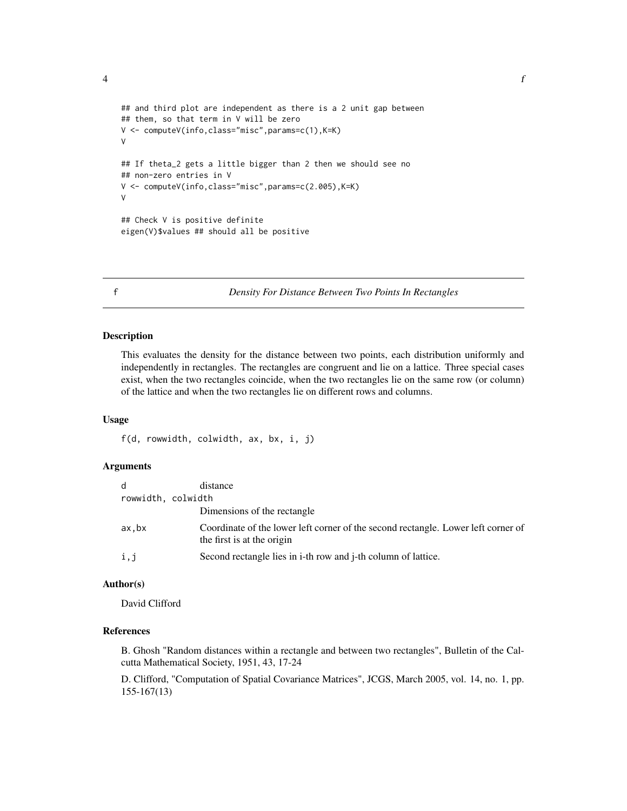<span id="page-3-0"></span> $\frac{1}{4}$ 

```
## and third plot are independent as there is a 2 unit gap between
## them, so that term in V will be zero
V <- computeV(info,class="misc",params=c(1),K=K)
V
## If theta_2 gets a little bigger than 2 then we should see no
## non-zero entries in V
V <- computeV(info,class="misc",params=c(2.005),K=K)
V
## Check V is positive definite
eigen(V)$values ## should all be positive
```
f *Density For Distance Between Two Points In Rectangles*

#### Description

This evaluates the density for the distance between two points, each distribution uniformly and independently in rectangles. The rectangles are congruent and lie on a lattice. Three special cases exist, when the two rectangles coincide, when the two rectangles lie on the same row (or column) of the lattice and when the two rectangles lie on different rows and columns.

#### Usage

f(d, rowwidth, colwidth, ax, bx, i, j)

#### Arguments

| d                  | distance                                                                                                        |
|--------------------|-----------------------------------------------------------------------------------------------------------------|
| rowwidth, colwidth |                                                                                                                 |
|                    | Dimensions of the rectangle                                                                                     |
| ax.bx              | Coordinate of the lower left corner of the second rectangle. Lower left corner of<br>the first is at the origin |
| i,j                | Second rectangle lies in i-th row and j-th column of lattice.                                                   |

#### Author(s)

David Clifford

#### References

B. Ghosh "Random distances within a rectangle and between two rectangles", Bulletin of the Calcutta Mathematical Society, 1951, 43, 17-24

D. Clifford, "Computation of Spatial Covariance Matrices", JCGS, March 2005, vol. 14, no. 1, pp. 155-167(13)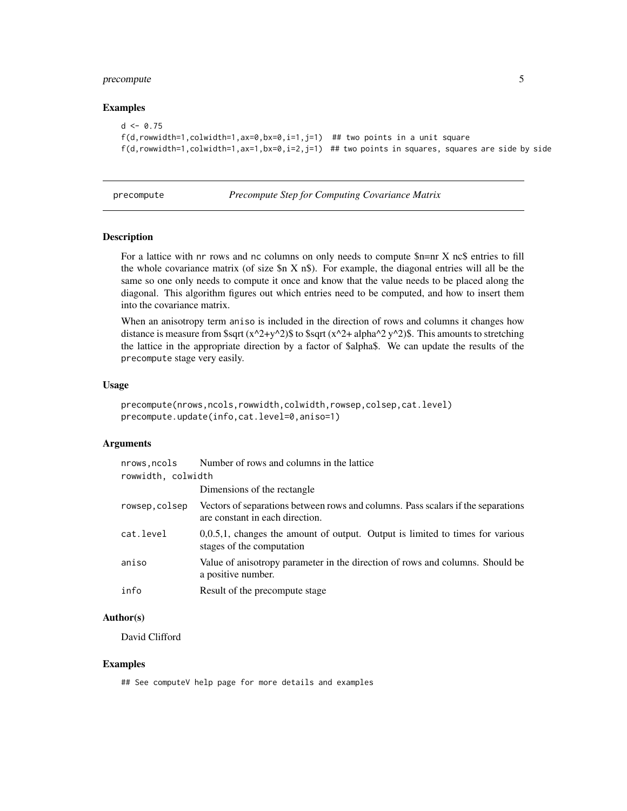#### <span id="page-4-0"></span>precompute 5

#### Examples

```
d \leq 0.75f(d,rowwidth=1,colwidth=1,ax=0,bx=0,i=1,j=1) ## two points in a unit square
f(d, rowwidth=1, column=1,ax=1,bx=0,i=2,j=1) ## two points in squares, squares are side by side
```
precompute *Precompute Step for Computing Covariance Matrix*

#### Description

For a lattice with nr rows and nc columns on only needs to compute \$n=nr X nc\$ entries to fill the whole covariance matrix (of size  $\ln X$  n $\text{\$}$ ). For example, the diagonal entries will all be the same so one only needs to compute it once and know that the value needs to be placed along the diagonal. This algorithm figures out which entries need to be computed, and how to insert them into the covariance matrix.

When an anisotropy term aniso is included in the direction of rows and columns it changes how distance is measure from \$sqrt (x^2+y^2)\$ to \$sqrt (x^2+ alpha^2 y^2)\$. This amounts to stretching the lattice in the appropriate direction by a factor of \$alpha\$. We can update the results of the precompute stage very easily.

#### Usage

```
precompute(nrows,ncols,rowwidth,colwidth,rowsep,colsep,cat.level)
precompute.update(info,cat.level=0,aniso=1)
```
#### Arguments

| nrows.ncols        | Number of rows and columns in the lattice                                                                           |
|--------------------|---------------------------------------------------------------------------------------------------------------------|
| rowwidth, colwidth |                                                                                                                     |
|                    | Dimensions of the rectangle                                                                                         |
| rowsep,colsep      | Vectors of separations between rows and columns. Pass scalars if the separations<br>are constant in each direction. |
| cat.level          | $0,0.5,1$ , changes the amount of output. Output is limited to times for various<br>stages of the computation       |
| aniso              | Value of anisotropy parameter in the direction of rows and columns. Should be<br>a positive number.                 |
| info               | Result of the precompute stage                                                                                      |

#### Author(s)

David Clifford

#### Examples

## See computeV help page for more details and examples